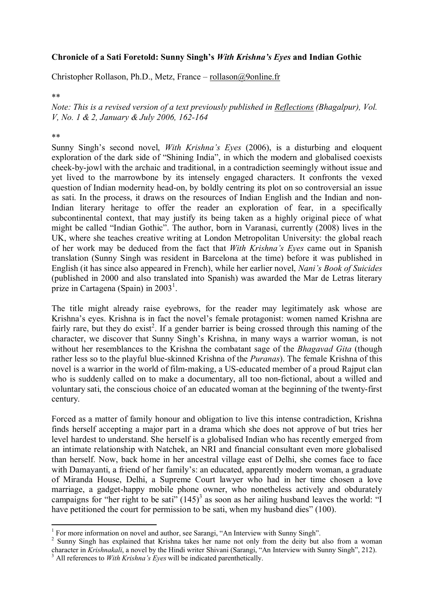## **Chronicle of a Sati Foretold: Sunny Singh's** *With Krishna's Eyes* **and Indian Gothic**

Christopher Rollason, Ph.D., Metz, France – rollason@9online.fr

## \*\*

*Note: This is a revised version of a text previously published in Reflections (Bhagalpur), Vol. V, No. 1 & 2, January & July 2006, 162-164*

## \*\*

Sunny Singh's second novel, *With Krishna's Eyes* (2006), is a disturbing and eloquent exploration of the dark side of "Shining India", in which the modern and globalised coexists cheek-by-jowl with the archaic and traditional, in a contradiction seemingly without issue and yet lived to the marrowbone by its intensely engaged characters. It confronts the vexed question of Indian modernity head-on, by boldly centring its plot on so controversial an issue as sati. In the process, it draws on the resources of Indian English and the Indian and non-Indian literary heritage to offer the reader an exploration of fear, in a specifically subcontinental context, that may justify its being taken as a highly original piece of what might be called "Indian Gothic". The author, born in Varanasi, currently (2008) lives in the UK, where she teaches creative writing at London Metropolitan University: the global reach of her work may be deduced from the fact that *With Krishna's Eyes* came out in Spanish translation (Sunny Singh was resident in Barcelona at the time) before it was published in English (it has since also appeared in French), while her earlier novel, *Nani's Book of Suicides* (published in 2000 and also translated into Spanish) was awarded the Mar de Letras literary prize in Cartagena (Spain) in  $2003<sup>1</sup>$ .

The title might already raise eyebrows, for the reader may legitimately ask whose are Krishna's eyes. Krishna is in fact the novel's female protagonist: women named Krishna are fairly rare, but they do exist<sup>2</sup>. If a gender barrier is being crossed through this naming of the character, we discover that Sunny Singh's Krishna, in many ways a warrior woman, is not without her resemblances to the Krishna the combatant sage of the *Bhagavad Gita* (though rather less so to the playful blue-skinned Krishna of the *Puranas*). The female Krishna of this novel is a warrior in the world of film-making, a US-educated member of a proud Rajput clan who is suddenly called on to make a documentary, all too non-fictional, about a willed and voluntary sati, the conscious choice of an educated woman at the beginning of the twenty-first century.

Forced as a matter of family honour and obligation to live this intense contradiction, Krishna finds herself accepting a major part in a drama which she does not approve of but tries her level hardest to understand. She herself is a globalised Indian who has recently emerged from an intimate relationship with Natchek, an NRI and financial consultant even more globalised than herself. Now, back home in her ancestral village east of Delhi, she comes face to face with Damayanti, a friend of her family's: an educated, apparently modern woman, a graduate of Miranda House, Delhi, a Supreme Court lawyer who had in her time chosen a love marriage, a gadget-happy mobile phone owner, who nonetheless actively and obdurately campaigns for "her right to be sati"  $(145)^3$  as soon as her ailing husband leaves the world: "I have petitioned the court for permission to be sati, when my husband dies" (100).

 1 For more information on novel and author, see Sarangi, "An Interview with Sunny Singh".

<sup>&</sup>lt;sup>2</sup> Sunny Singh has explained that Krishna takes her name not only from the deity but also from a woman character in *Krishnakali*, a novel by the Hindi writer Shivani (Sarangi, "An Interview with Sunny Singh", 212).

<sup>&</sup>lt;sup>3</sup> All references to *With Krishna's Eves* will be indicated parenthetically.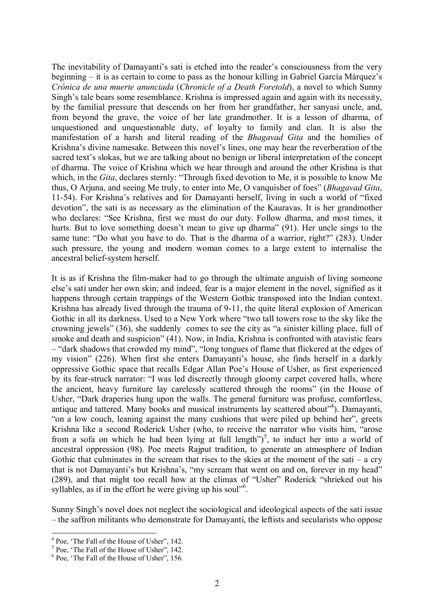The inevitability of Damayanti's sati is etched into the reader's consciousness from the very beginning – it is as certain to come to pass as the honour killing in Gabriel García Márquez's *Crónica de una muerte anunciada* (*Chronicle of a Death Foretold*), a novel to which Sunny Singh's tale bears some resemblance. Krishna is impressed again and again with its necessity, by the familial pressure that descends on her from her grandfather, her sanyasi uncle, and, from beyond the grave, the voice of her late grandmother. It is a lesson of dharma, of unquestioned and unquestionable duty, of loyalty to family and clan. It is also the manifestation of a harsh and literal reading of the *Bhagavad Gita* and the homilies of Krishna's divine namesake. Between this novel's lines, one may hear the reverberation of the sacred text's slokas, but we are talking about no benign or liberal interpretation of the concept of dharma. The voice of Krishna which we hear through and around the other Krishna is that which, in the *Gita*, declares sternly: "Through fixed devotion to Me, it is possible to know Me thus, O Arjuna, and seeing Me truly, to enter into Me, O vanquisher of foes" (*Bhagavad Gita*, 11-54). For Krishna's relatives and for Damayanti herself, living in such a world of "fixed devotion", the sati is as necessary as the elimination of the Kauravas. It is her grandmother who declares: "See Krishna, first we must do our duty. Follow dharma, and most times, it hurts. But to love something doesn't mean to give up dharma" (91). Her uncle sings to the same tune: "Do what you have to do. That is the dharma of a warrior, right?" (283). Under such pressure, the young and modern woman comes to a large extent to internalise the ancestral belief-system herself.

It is as if Krishna the film-maker had to go through the ultimate anguish of living someone else's sati under her own skin; and indeed, fear is a major element in the novel, signified as it happens through certain trappings of the Western Gothic transposed into the Indian context. Krishna has already lived through the trauma of 9-11, the quite literal explosion of American Gothic in all its darkness. Used to a New York where "two tall towers rose to the sky like the crowning jewels" (36), she suddenly comes to see the city as "a sinister killing place, full of smoke and death and suspicion" (41). Now, in India, Krishna is confronted with atavistic fears – "dark shadows that crowded my mind", "long tongues of flame that flickered at the edges of my vision" (226). When first she enters Damayanti's house, she finds herself in a darkly oppressive Gothic space that recalls Edgar Allan Poe's House of Usher, as first experienced by its fear-struck narrator: "I was led discreetly through gloomy carpet covered halls, where the ancient, heavy furniture lay carelessly scattered through the rooms" (in the House of Usher, "Dark draperies hung upon the walls. The general furniture was profuse, comfortless, antique and tattered. Many books and musical instruments lay scattered about"<sup>4</sup>). Damayanti, "on a low couch, leaning against the many cushions that were piled up behind her", greets Krishna like a second Roderick Usher (who, to receive the narrator who visits him, "arose from a sofa on which he had been lying at full length")<sup>5</sup>, to induct her into a world of ancestral oppression (98). Poe meets Rajput tradition, to generate an atmosphere of Indian Gothic that culminates in the scream that rises to the skies at the moment of the sati – a cry that is not Damayanti's but Krishna's, "my scream that went on and on, forever in my head" (289), and that might too recall how at the climax of "Usher" Roderick "shrieked out his syllables, as if in the effort he were giving up his soul"<sup>6</sup>.

Sunny Singh's novel does not neglect the sociological and ideological aspects of the sati issue – the saffron militants who demonstrate for Damayanti, the leftists and secularists who oppose

<u>.</u>

<sup>&</sup>lt;sup>4</sup> Poe, 'The Fall of the House of Usher", 142.

<sup>&</sup>lt;sup>5</sup> Poe, 'The Fall of the House of Usher", 142.

<sup>6</sup> Poe, 'The Fall of the House of Usher", 156.